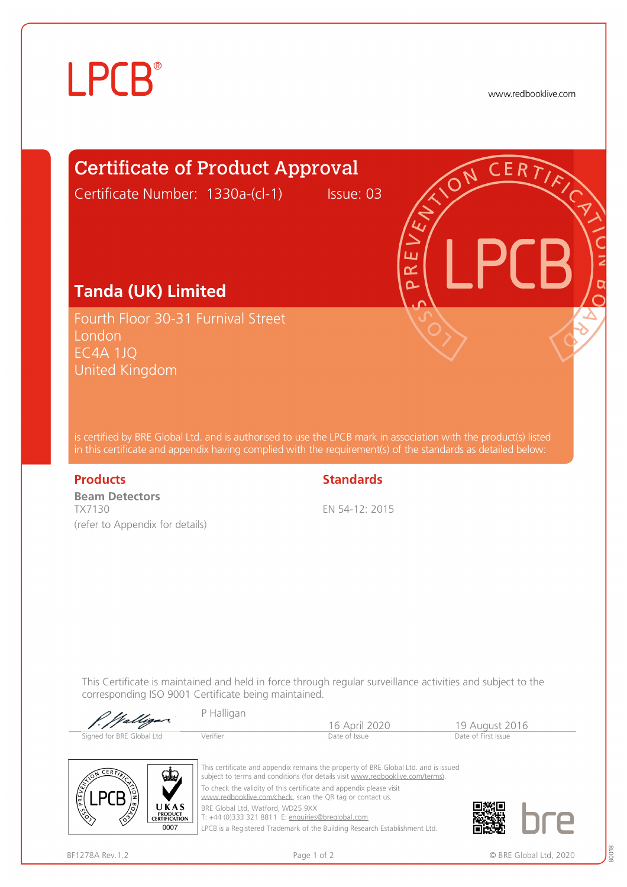# **LPCB**®

www.redbooklive.com



T: +44 (0)333 321 8811 E: [enquiries@breglobal.com](mailto:enquiries@breglobal.com)

LPCB is a Registered Trademark of the Building Research Establishment Ltd.

 $0007$